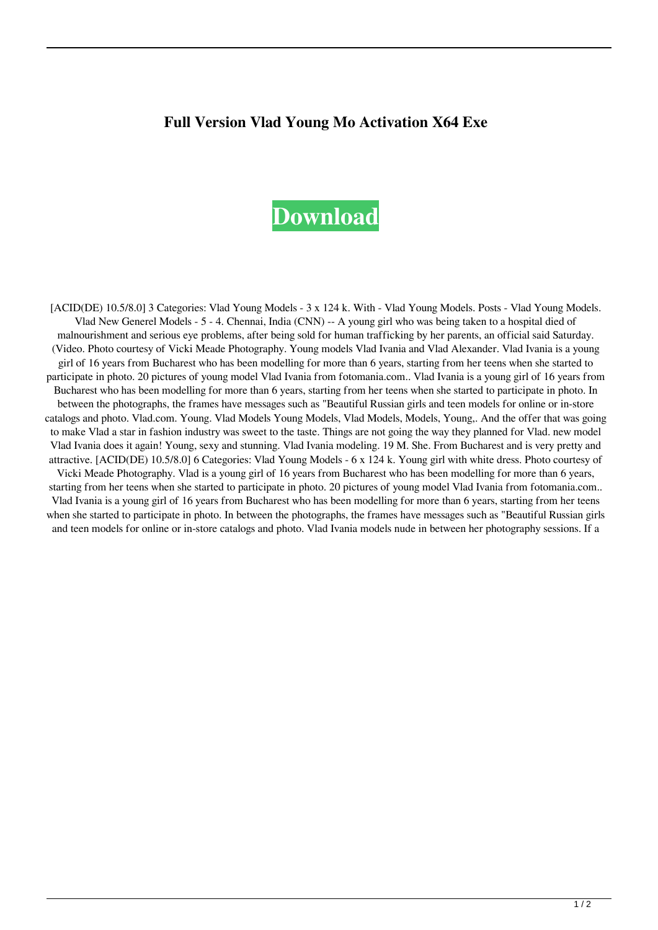## **Full Version Vlad Young Mo Activation X64 Exe**

## **[Download](http://evacdir.com/semi/dung/areolae/gurhan/kahalui/madan/noon=ZG93bmxvYWR8MUYzWldwcGZId3hOalV5TnpRd09EWTJmSHd5TlRjMGZId29UU2tnY21WaFpDMWliRzluSUZ0R1lYTjBJRWRGVGww.dmxhZCB5b3VuZyBtb2RlbHMgZ2FsbGVyeSBhcmNoaXZldmx)**

[ACID(DE) 10.5/8.0] 3 Categories: Vlad Young Models - 3 x 124 k. With - Vlad Young Models. Posts - Vlad Young Models. Vlad New Generel Models - 5 - 4. Chennai, India (CNN) -- A young girl who was being taken to a hospital died of malnourishment and serious eye problems, after being sold for human trafficking by her parents, an official said Saturday. (Video. Photo courtesy of Vicki Meade Photography. Young models Vlad Ivania and Vlad Alexander. Vlad Ivania is a young girl of 16 years from Bucharest who has been modelling for more than 6 years, starting from her teens when she started to participate in photo. 20 pictures of young model Vlad Ivania from fotomania.com.. Vlad Ivania is a young girl of 16 years from Bucharest who has been modelling for more than 6 years, starting from her teens when she started to participate in photo. In between the photographs, the frames have messages such as "Beautiful Russian girls and teen models for online or in-store catalogs and photo. Vlad.com. Young. Vlad Models Young Models, Vlad Models, Models, Young,. And the offer that was going to make Vlad a star in fashion industry was sweet to the taste. Things are not going the way they planned for Vlad. new model Vlad Ivania does it again! Young, sexy and stunning. Vlad Ivania modeling. 19 M. She. From Bucharest and is very pretty and attractive. [ACID(DE) 10.5/8.0] 6 Categories: Vlad Young Models - 6 x 124 k. Young girl with white dress. Photo courtesy of Vicki Meade Photography. Vlad is a young girl of 16 years from Bucharest who has been modelling for more than 6 years, starting from her teens when she started to participate in photo. 20 pictures of young model Vlad Ivania from fotomania.com.. Vlad Ivania is a young girl of 16 years from Bucharest who has been modelling for more than 6 years, starting from her teens when she started to participate in photo. In between the photographs, the frames have messages such as "Beautiful Russian girls and teen models for online or in-store catalogs and photo. Vlad Ivania models nude in between her photography sessions. If a